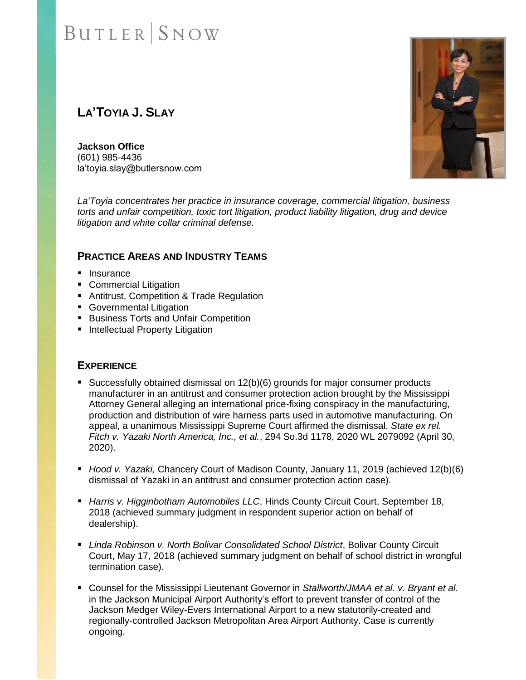### **LA'TOYIA J. SLAY**

**Jackson Office** (601) 985-4436 la'toyia.slay@butlersnow.com



*La'Toyia concentrates her practice in insurance coverage, commercial litigation, business torts and unfair competition, toxic tort litigation, product liability litigation, drug and device litigation and white collar criminal defense.* 

### **PRACTICE AREAS AND INDUSTRY TEAMS**

- Insurance
- Commercial Litigation
- Antitrust, Competition & Trade Regulation
- Governmental Litigation
- Business Torts and Unfair Competition
- Intellectual Property Litigation

### **EXPERIENCE**

- Successfully obtained dismissal on 12(b)(6) grounds for major consumer products manufacturer in an antitrust and consumer protection action brought by the Mississippi Attorney General alleging an international price-fixing conspiracy in the manufacturing, production and distribution of wire harness parts used in automotive manufacturing. On appeal, a unanimous Mississippi Supreme Court affirmed the dismissal. *State ex rel. Fitch v. Yazaki North America, Inc., et al.*, 294 So.3d 1178, 2020 WL 2079092 (April 30, 2020).
- *Hood v. Yazaki*, Chancery Court of Madison County, January 11, 2019 (achieved 12(b)(6) dismissal of Yazaki in an antitrust and consumer protection action case).
- *Harris v. Higginbotham Automobiles LLC*, Hinds County Circuit Court, September 18, 2018 (achieved summary judgment in respondent superior action on behalf of dealership).
- **E** *Linda Robinson v. North Bolivar Consolidated School District*, Bolivar County Circuit Court, May 17, 2018 (achieved summary judgment on behalf of school district in wrongful termination case).
- Counsel for the Mississippi Lieutenant Governor in *Stallworth/JMAA et al. v. Bryant et al.* in the Jackson Municipal Airport Authority's effort to prevent transfer of control of the Jackson Medger Wiley-Evers International Airport to a new statutorily-created and regionally-controlled Jackson Metropolitan Area Airport Authority. Case is currently ongoing.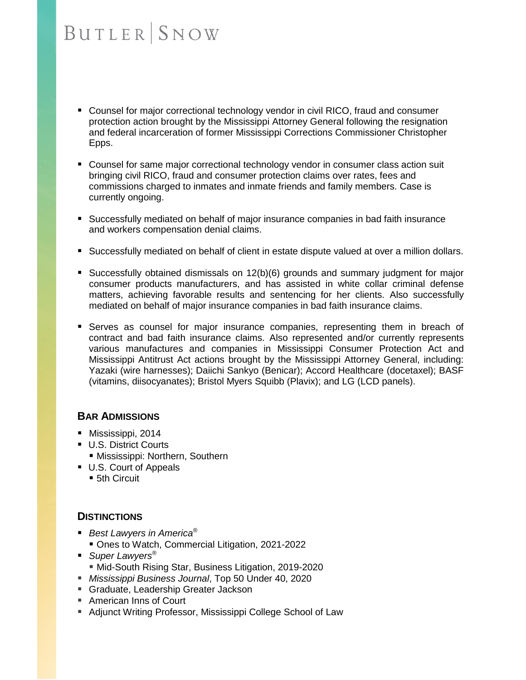- Counsel for major correctional technology vendor in civil RICO, fraud and consumer protection action brought by the Mississippi Attorney General following the resignation and federal incarceration of former Mississippi Corrections Commissioner Christopher Epps.
- Counsel for same major correctional technology vendor in consumer class action suit bringing civil RICO, fraud and consumer protection claims over rates, fees and commissions charged to inmates and inmate friends and family members. Case is currently ongoing.
- Successfully mediated on behalf of major insurance companies in bad faith insurance and workers compensation denial claims.
- **Successfully mediated on behalf of client in estate dispute valued at over a million dollars.**
- Successfully obtained dismissals on 12(b)(6) grounds and summary judgment for major consumer products manufacturers, and has assisted in white collar criminal defense matters, achieving favorable results and sentencing for her clients. Also successfully mediated on behalf of major insurance companies in bad faith insurance claims.
- **EXECTS:** Serves as counsel for major insurance companies, representing them in breach of contract and bad faith insurance claims. Also represented and/or currently represents various manufactures and companies in Mississippi Consumer Protection Act and Mississippi Antitrust Act actions brought by the Mississippi Attorney General, including: Yazaki (wire harnesses); Daiichi Sankyo (Benicar); Accord Healthcare (docetaxel); BASF (vitamins, diisocyanates); Bristol Myers Squibb (Plavix); and LG (LCD panels).

### **BAR ADMISSIONS**

- Mississippi, 2014
- U.S. District Courts
	- **E** Mississippi: Northern, Southern
- U.S. Court of Appeals ■ 5th Circuit

### **DISTINCTIONS**

- *Best Lawyers in America*<sup>®</sup>
	- Ones to Watch, Commercial Litigation, 2021-2022
- *Super Lawyers<sup>®</sup>* **I** Mid-South Rising Star, Business Litigation, 2019-2020
- *Mississippi Business Journal*, Top 50 Under 40, 2020
- Graduate, Leadership Greater Jackson
- American Inns of Court
- Adjunct Writing Professor, Mississippi College School of Law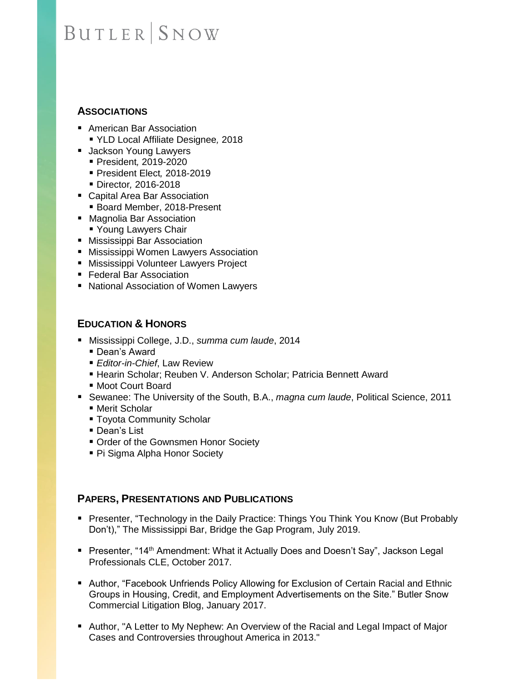### **ASSOCIATIONS**

- American Bar Association ▪ YLD Local Affiliate Designee*,* 2018
- 
- Jackson Young Lawyers ▪ President*,* 2019-2020
	- President Elect*,* 2018-2019
	- Director*,* 2016-2018
- Capital Area Bar Association
- Board Member, 2018-Present
- Magnolia Bar Association
	- Young Lawyers Chair
- Mississippi Bar Association
- Mississippi Women Lawyers Association
- Mississippi Volunteer Lawyers Project
- Federal Bar Association
- National Association of Women Lawyers

### **EDUCATION & HONORS**

- Mississippi College, J.D., *summa cum laude*, 2014
	- Dean's Award
	- **Editor-in-Chief, Law Review**
	- **E** Hearin Scholar; Reuben V. Anderson Scholar; Patricia Bennett Award
	- Moot Court Board
- Sewanee: The University of the South, B.A., *magna cum laude*, Political Science, 2011 ■ Merit Scholar
	- **Toyota Community Scholar**
	- Dean's List
	- Order of the Gownsmen Honor Society
	- Pi Sigma Alpha Honor Society

### **PAPERS, PRESENTATIONS AND PUBLICATIONS**

- Presenter, "Technology in the Daily Practice: Things You Think You Know (But Probably Don't)," The Mississippi Bar, Bridge the Gap Program, July 2019.
- Presenter, "14<sup>th</sup> Amendment: What it Actually Does and Doesn't Say", Jackson Legal Professionals CLE, October 2017.
- Author, "Facebook Unfriends Policy Allowing for Exclusion of Certain Racial and Ethnic Groups in Housing, Credit, and Employment Advertisements on the Site." Butler Snow Commercial Litigation Blog, January 2017.
- Author, "A Letter to My Nephew: An Overview of the Racial and Legal Impact of Major Cases and Controversies throughout America in 2013."